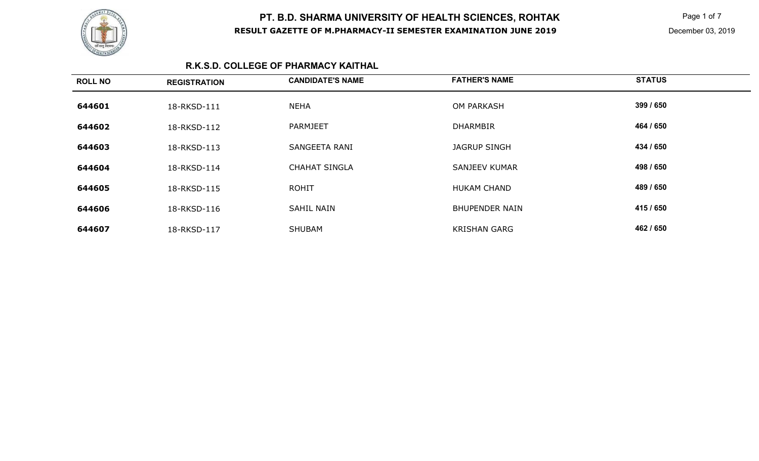

**K** Page 1 of 7 December 03, 2019

### **R.K.S.D. COLLEGE OF PHARMACY KAITHAL**

| <b>ROLL NO</b> | <b>REGISTRATION</b> | <b>CANDIDATE'S NAME</b> | <b>FATHER'S NAME</b>  | <b>STATUS</b> |
|----------------|---------------------|-------------------------|-----------------------|---------------|
| 644601         | 18-RKSD-111         | <b>NEHA</b>             | <b>OM PARKASH</b>     | 399 / 650     |
| 644602         | 18-RKSD-112         | PARMJEET                | <b>DHARMBIR</b>       | 464 / 650     |
| 644603         | 18-RKSD-113         | SANGEETA RANI           | <b>JAGRUP SINGH</b>   | 434 / 650     |
| 644604         | 18-RKSD-114         | <b>CHAHAT SINGLA</b>    | <b>SANJEEV KUMAR</b>  | 498 / 650     |
| 644605         | 18-RKSD-115         | <b>ROHIT</b>            | <b>HUKAM CHAND</b>    | 489 / 650     |
| 644606         | 18-RKSD-116         | SAHIL NAIN              | <b>BHUPENDER NAIN</b> | 415 / 650     |
| 644607         | 18-RKSD-117         | <b>SHUBAM</b>           | <b>KRISHAN GARG</b>   | 462 / 650     |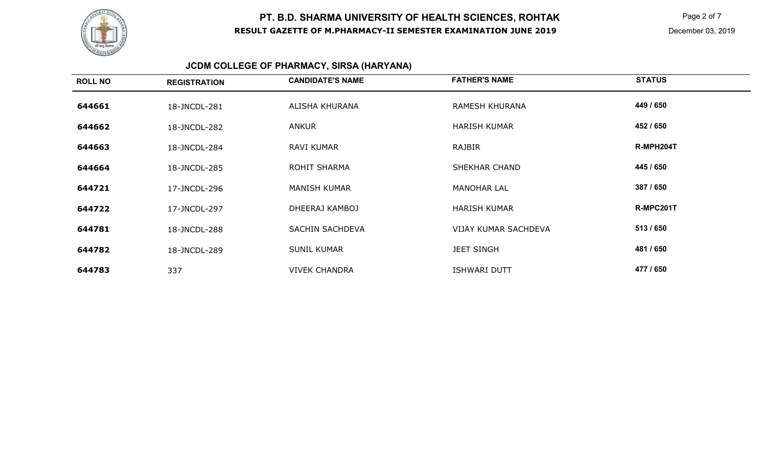

 $\mathsf K$  Page 2 of 7

# **JCDM COLLEGE OF PHARMACY, SIRSA (HARYANA)**

| <b>ROLL NO</b> | <b>REGISTRATION</b> | <b>CANDIDATE'S NAME</b> | <b>FATHER'S NAME</b>        | <b>STATUS</b>    |
|----------------|---------------------|-------------------------|-----------------------------|------------------|
| 644661         | 18-JNCDL-281        | ALISHA KHURANA          | RAMESH KHURANA              | 449 / 650        |
| 644662         | 18-JNCDL-282        | ANKUR                   | <b>HARISH KUMAR</b>         | 452 / 650        |
| 644663         | 18-JNCDL-284        | <b>RAVI KUMAR</b>       | RAJBIR                      | R-MPH204T        |
| 644664         | 18-JNCDL-285        | ROHIT SHARMA            | <b>SHEKHAR CHAND</b>        | 445 / 650        |
| 644721         | 17-JNCDL-296        | <b>MANISH KUMAR</b>     | <b>MANOHAR LAL</b>          | 387 / 650        |
| 644722         | 17-JNCDL-297        | DHEERAJ KAMBOJ          | <b>HARISH KUMAR</b>         | <b>R-MPC201T</b> |
| 644781         | 18-JNCDL-288        | <b>SACHIN SACHDEVA</b>  | <b>VIJAY KUMAR SACHDEVA</b> | 513 / 650        |
| 644782         | 18-JNCDL-289        | <b>SUNIL KUMAR</b>      | <b>JEET SINGH</b>           | 481 / 650        |
| 644783         | 337                 | <b>VIVEK CHANDRA</b>    | <b>ISHWARI DUTT</b>         | 477 / 650        |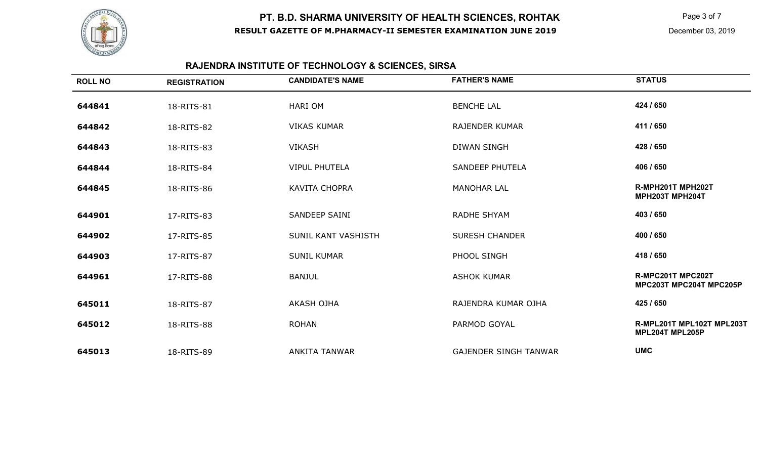

 $\mathsf K$  Page 3 of 7

# **RAJENDRA INSTITUTE OF TECHNOLOGY & SCIENCES, SIRSA**

| <b>ROLL NO</b> | <b>REGISTRATION</b> | <b>CANDIDATE'S NAME</b> | <b>FATHER'S NAME</b>         | <b>STATUS</b>                                |
|----------------|---------------------|-------------------------|------------------------------|----------------------------------------------|
| 644841         | 18-RITS-81          | <b>HARI OM</b>          | <b>BENCHE LAL</b>            | 424 / 650                                    |
| 644842         | 18-RITS-82          | <b>VIKAS KUMAR</b>      | <b>RAJENDER KUMAR</b>        | 411 / 650                                    |
| 644843         | 18-RITS-83          | <b>VIKASH</b>           | <b>DIWAN SINGH</b>           | 428 / 650                                    |
| 644844         | 18-RITS-84          | <b>VIPUL PHUTELA</b>    | <b>SANDEEP PHUTELA</b>       | 406 / 650                                    |
| 644845         | 18-RITS-86          | <b>KAVITA CHOPRA</b>    | <b>MANOHAR LAL</b>           | R-MPH201T MPH202T<br>MPH203T MPH204T         |
| 644901         | 17-RITS-83          | SANDEEP SAINI           | <b>RADHE SHYAM</b>           | 403 / 650                                    |
| 644902         | 17-RITS-85          | SUNIL KANT VASHISTH     | <b>SURESH CHANDER</b>        | 400 / 650                                    |
| 644903         | 17-RITS-87          | <b>SUNIL KUMAR</b>      | PHOOL SINGH                  | 418 / 650                                    |
| 644961         | 17-RITS-88          | <b>BANJUL</b>           | <b>ASHOK KUMAR</b>           | R-MPC201T MPC202T<br>MPC203T MPC204T MPC205P |
| 645011         | 18-RITS-87          | <b>AKASH OJHA</b>       | RAJENDRA KUMAR OJHA          | 425 / 650                                    |
| 645012         | 18-RITS-88          | <b>ROHAN</b>            | PARMOD GOYAL                 | R-MPL201T MPL102T MPL203T<br>MPL204T MPL205P |
| 645013         | 18-RITS-89          | <b>ANKITA TANWAR</b>    | <b>GAJENDER SINGH TANWAR</b> | <b>UMC</b>                                   |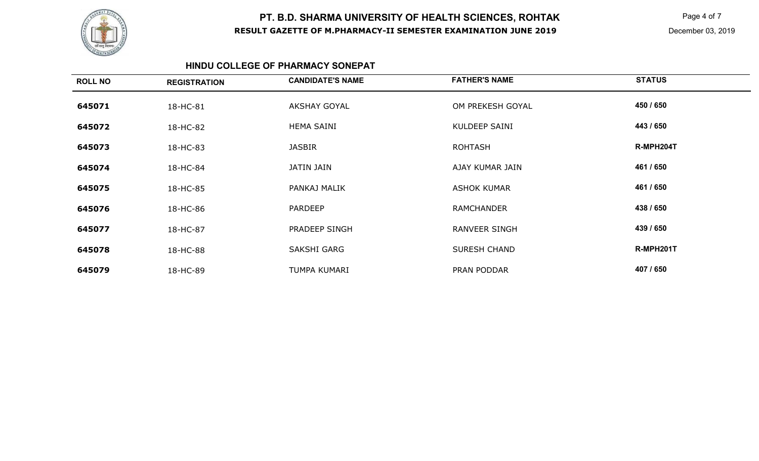

**K** Page 4 of 7

#### **HINDU COLLEGE OF PHARMACY SONEPAT**

| <b>ROLL NO</b> | <b>REGISTRATION</b> | <b>CANDIDATE'S NAME</b> | <b>FATHER'S NAME</b> | <b>STATUS</b> |
|----------------|---------------------|-------------------------|----------------------|---------------|
| 645071         | 18-HC-81            | <b>AKSHAY GOYAL</b>     | OM PREKESH GOYAL     | 450 / 650     |
| 645072         | 18-HC-82            | <b>HEMA SAINI</b>       | <b>KULDEEP SAINI</b> | 443 / 650     |
| 645073         | 18-HC-83            | <b>JASBIR</b>           | <b>ROHTASH</b>       | R-MPH204T     |
| 645074         | 18-HC-84            | <b>JATIN JAIN</b>       | AJAY KUMAR JAIN      | 461 / 650     |
| 645075         | 18-HC-85            | PANKAJ MALIK            | <b>ASHOK KUMAR</b>   | 461 / 650     |
| 645076         | 18-HC-86            | <b>PARDEEP</b>          | <b>RAMCHANDER</b>    | 438 / 650     |
| 645077         | 18-HC-87            | PRADEEP SINGH           | <b>RANVEER SINGH</b> | 439 / 650     |
| 645078         | 18-HC-88            | SAKSHI GARG             | <b>SURESH CHAND</b>  | R-MPH201T     |
| 645079         | 18-HC-89            | TUMPA KUMARI            | PRAN PODDAR          | 407 / 650     |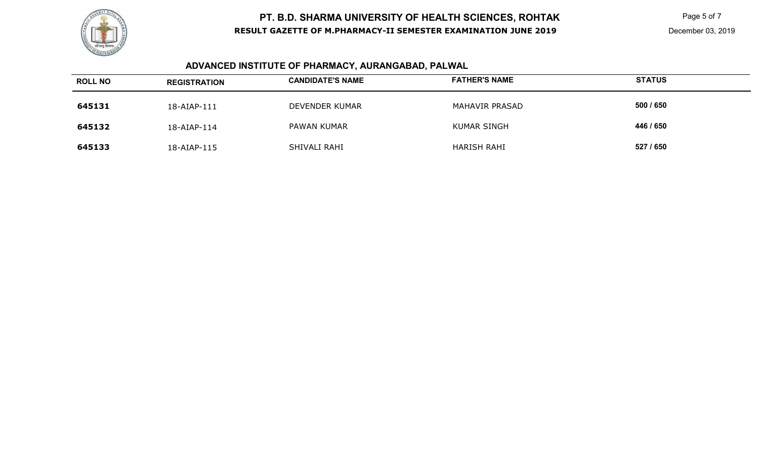

 $\mathsf K$  Page 5 of 7

# **ADVANCED INSTITUTE OF PHARMACY, AURANGABAD, PALWAL**

| <b>ROLL NO</b> | <b>REGISTRATION</b> | <b>CANDIDATE'S NAME</b> | <b>FATHER'S NAME</b> | <b>STATUS</b> |
|----------------|---------------------|-------------------------|----------------------|---------------|
| 645131         | 18-AIAP-111         | DEVENDER KUMAR          | MAHAVIR PRASAD       | 500 / 650     |
| 645132         | 18-AIAP-114         | PAWAN KUMAR             | <b>KUMAR SINGH</b>   | 446 / 650     |
| 645133         | 18-AIAP-115         | SHIVALI RAHI            | <b>HARISH RAHI</b>   | 527 / 650     |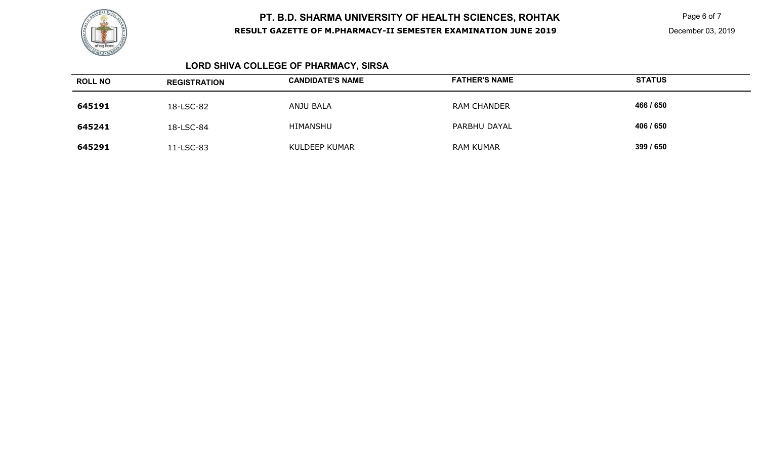

**K** Page 6 of 7

# **LORD SHIVA COLLEGE OF PHARMACY, SIRSA**

| <b>ROLL NO</b> | <b>REGISTRATION</b> | <b>CANDIDATE'S NAME</b> | <b>FATHER'S NAME</b> | <b>STATUS</b> |
|----------------|---------------------|-------------------------|----------------------|---------------|
| 645191         | 18-LSC-82           | ANJU BALA               | <b>RAM CHANDER</b>   | 466 / 650     |
| 645241         | 18-LSC-84           | HIMANSHU                | PARBHU DAYAL         | 406 / 650     |
| 645291         | 11-LSC-83           | KULDEEP KUMAR           | <b>RAM KUMAR</b>     | 399 / 650     |